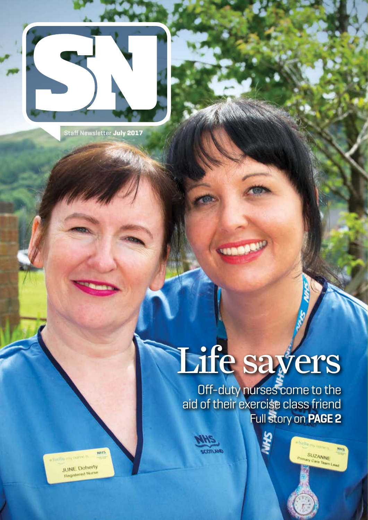

Staff Newsletter **July 2017**

# Life savers

Off-duty nurses come to the aid of their exercise class friend Full story on **PAGE 2**

**SUZANNE**<br>Primary Care Team



**NHS** stantin my name is

JUNE Doherty Registered Nurse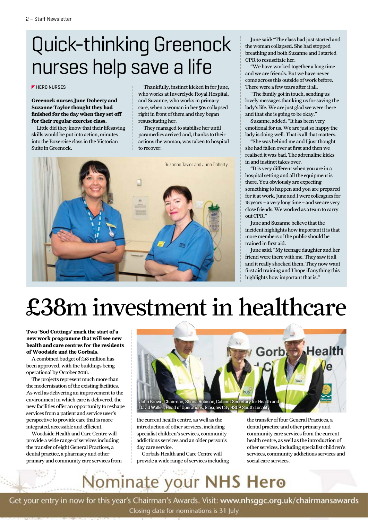## Quick-thinking Greenock nurses help save a life

### **F** HERO NURSES

**Greenock nurses June Doherty and Suzanne Taylor thought they had finished for the day when they set off for their regular exercise class.**

Little did they know that their lifesaving skills would be put into action, minutes into the Boxercise class in the Victorian Suite in Greenock.

Thankfully, instinct kicked in for June, who works at Inverclyde Royal Hospital, and Suzanne, who works in primary care, when a woman in her 50s collapsed right in front of them and they began resuscitating her.

They managed to stabilise her until paramedics arrived and, thanks to their actions the woman, was taken to hospital to recover.



June said: "The class had just started and the woman collapsed. She had stopped breathing and both Suzanne and I started CPR to resuscitate her.

"We have worked together a long time and we are friends. But we have never come across this outside of work before. There were a few tears after it all.

"The family got in touch, sending us lovely messages thanking us for saving the lady's life. We are just glad we were there and that she is going to be okay."

Suzanne, added: "It has been very emotional for us. We are just so happy the lady is doing well. That is all that matters.

"She was behind me and I just thought she had fallen over at first and then we realised it was bad. The adrenaline kicks in and instinct takes over.

"It is very different when you are in a hospital setting and all the equipment is there. You obviously are expecting something to happen and you are prepared for it at work. June and I were colleagues for 18 years – a very long time – and we are very close friends. We worked as a team to carry out CPR."

June and Suzanne believe that the incident highlights how important it is that more members of the public should be trained in first aid.

June said: "My teenage daughter and her friend were there with me. They saw it all and it really shocked them. They now want first aid training and I hope if anything this highlights how important that is."

## £38m investment in healthcare

**Two 'Sod Cuttings' mark the start of a new work programme that will see new health and care centres for the residents of Woodside and the Gorbals.**

A combined budget of £38 million has been approved, with the buildings being operational by October 2018.

The projects represent much more than the modernisation of the existing facilities. As well as delivering an improvement to the environment in which care is delivered, the new facilities offer an opportunity to reshape services from a patient and service user's perspective to provide care that is more integrated, accessible and efficient.

Woodside Health and Care Centre will provide a wide range of services including the transfer of eight General Practices, a dental practice, a pharmacy and other primary and community care services from



the current health centre, as well as the introduction of other services, including specialist children's services, community addictions services and an older person's day care service.

Gorbals Health and Care Centre will provide a wide range of services including the transfer of four General Practices, a dental practice and other primary and community care services from the current health centre, as well as the introduction of other services, including specialist children's services, community addictions services and social care services.

## Nominate your NHS Hero

Get your entry in now for this year's Chairman's Awards. Visit: www.nhsggc.org.uk/chairmansawards Closing date for nominations is 31 July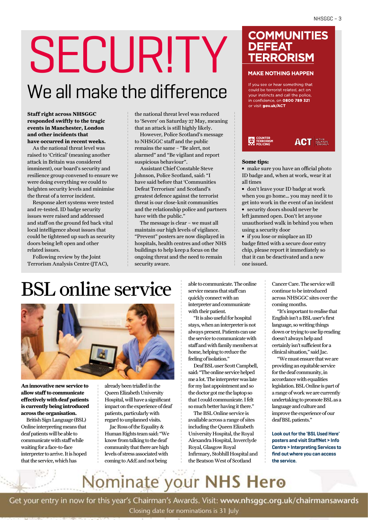# SECUR!TY We all make the difference

**Staff right across NHSGGC responded swiftly to the tragic events in Manchester, London and other incidents that have occurred in recent weeks.**

As the national threat level was raised to 'Critical' (meaning another attack in Britain was considered imminent), our board's security and resilience group convened to ensure we were doing everything we could to heighten security levels and minimise the threat of a terror incident.

Response alert systems were tested and re-tested. ID badge security issues were raised and addressed and staff on the ground fed back vital local intelligence about issues that could be tightened up such as security doors being left open and other related issues.

Following review by the Joint Terrorism Analysis Centre (JTAC), the national threat level was reduced to 'Severe' on Saturday 27 May, meaning that an attack is still highly likely.

However, Police Scotland's message to NHSGGC staff and the public remains the same – "Be alert, not alarmed" and "Be vigilant and report suspicious behaviour".

Assistant Chief Constable Steve Johnson, Police Scotland, said: "I have said before that 'Communities Defeat Terrorism' and Scotland's greatest defence against the terrorist threat is our close-knit communities and the relationship police and partners have with the public."

The message is clear – we must all maintain our high levels of vigilance. "Prevent" posters are now displayed in hospitals, health centres and other NHS buildings to help keep a focus on the ongoing threat and the need to remain security aware.

### **COMMUNITIES DEFEAT TERRORISM**

### **MAKE NOTHING HAPPEN**

If you see or hear something that could be terrorist related, act on your instincts and call the police, in confidence, on 0800 789 321 or visit gov.uk/ACT



#### **Some tips:**

**∫** make sure you have an official photo ID badge and, when at work, wear it at all times

**∫** don't leave your ID badge at work when you go home… you may need it to get into work in the event of an incident **∫** security doors should never be left jammed open. Don't let anyone unauthorised walk in behind you when using a security door

**∫** if you lose or misplace an ID badge fitted with a secure door entry chip, please report it immediately so that it can be deactivated and a new one issued.

## BSL online service



**An innovative new service to allow staff to communicate effectively with deaf patients is currently being introduced across the organisation.**

British Sign Language (BSL) Online interpreting means that deaf patients will be able to communicate with staff while waiting for a face-to-face interpreter to arrive. It is hoped that the service, which has

already been trialled in the Queen Elizabeth University Hospital, will have a significant impact on the experience of deaf patients, particularly with regard to unplanned visits.

Jac Ross of the Equality & Human Rights team said: "We know from talking to the deaf community that there are high levels of stress associated with coming to A&E and not being

able to communicate. The online service means that staff can quickly connect with an interpreter and communicate with their patient.

"It is also useful for hospital stays, when an interpreter is not always present. Patients can use the service to communicate with staff and with family members at home, helping to reduce the feeling of isolation."

Deaf BSL user Scott Campbell, said: "The online service helped me a lot. The interpreter was late for my last appointment and so the doctor got me the laptop so that I could communicate. I felt so much better having it there."

The BSL Online service is available across a range of sites including the Queen Elizabeth University Hospital, the Royal Alexandra Hospital, Inverclyde Royal, Glasgow Royal Infirmary, Stobhill Hospital and the Beatson West of Scotland

Cancer Care. The service will continue to be introduced across NHSGGC sites over the coming months.

"It's important to realise that English isn't a BSL user's first language, so writing things down or trying to use lip reading doesn't always help and certainly isn't sufficient for a clinical situation," said Jac.

"We must ensure that we are providing an equitable service for the deaf community, in accordance with equalities legislation. BSL Online is part of a range of work we are currently undertaking to promote BSL as a language and culture and improve the experience of our deaf BSL patients."

**Look out for the 'BSL Used Here' posters and visit StaffNet > Info Centre > Interpreting Services to find out where you can access the service.**

## Nominate your NHS Hero

Get your entry in now for this year's Chairman's Awards. Visit: www.nhsggc.org.uk/chairmansawards

Closing date for nominations is 31 July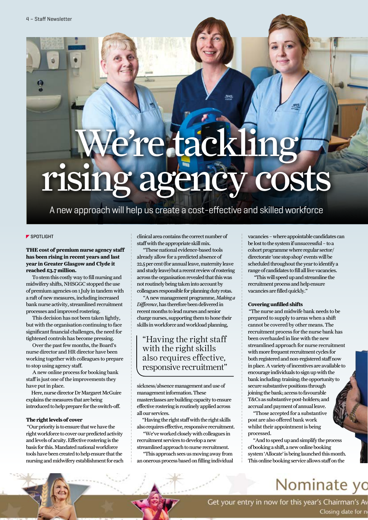# We're tackling rising agency costs

A new approach will help us create a cost-effective and skilled workforce

### **SPOTLIGHT**

**THE cost of premium nurse agency staff has been rising in recent years and last year in Greater Glasgow and Clyde it reached £3.7 million.**

 To stem this costly way to fill nursing and midwifery shifts, NHSGGC stopped the use of premium agencies on 1 July in tandem with a raft of new measures, including increased bank nurse activity, streamlined recruitment processes and improved rostering.

 This decision has not been taken lightly, but with the organisation continuing to face significant financial challenges, the need for tightened controls has become pressing.

 Over the past few months, the Board's nurse director and HR director have been working together with colleagues to prepare to stop using agency staff.

 A new online process for booking bank staff is just one of the improvements they have put in place.

Here, nurse director Dr Margaret McGuire explains the measures that are being introduced to help prepare for the switch-off.

### **The right levels of cover**

 "Our priority is to ensure that we have the right workforce to cover our predicted activity and levels of acuity. Effective rostering is the basis for this. Mandated national workforce tools have been created to help ensure that the nursing and midwifery establishment for each clinical area contains the correct number of staff with the appropriate skill mix.

 "These national evidence-based tools already allow for a predicted absence of 22.5 per cent (for annual leave, maternity leave and study leave) but a recent review of rostering across the organisation revealed that this was not routinely being taken into account by colleagues responsible for planning duty rotas.

 "A new management programme, *Making a Difference*, has therefore been delivered in recent months to lead nurses and senior charge nurses, supporting them to hone their skills in workforce and workload planning,

### "Having the right staff with the right skills also requires effective, responsive recruitment"

sickness/absence management and use of management information. These masterclasses are building capacity to ensure effective rostering is routinely applied across all our services.

"Having the right staff with the right skills also requires effective, responsive recruitment.

 "We've worked closely with colleagues in recruitment services to develop a new

streamlined approach to nurse recruitment. "This approach sees us moving away from an onerous process based on filling individual vacancies – where appointable candidates can be lost to the system if unsuccessful – to a cohort programme where regular sector/ directorate 'one stop shop' events will be scheduled throughout the year to identify a range of candidates to fill all live vacancies.

 "This will speed up and streamline the recruitment process and help ensure vacancies are filled quickly."

### **Covering unfilled shifts**

 "The nurse and midwife bank needs to be prepared to supply to areas when a shift cannot be covered by other means. The recruitment process for the nurse bank has been overhauled in line with the new streamlined approach for nurse recruitment with more frequent recruitment cycles for both registered and non-registered staff now in place. A variety of incentives are available to encourage individuals to sign up with the bank including: training; the opportunity to secure substantive positions through joining the bank; access to favourable T&Cs as substantive post-holders; and accrual and payment of annual leave.

"Those accepted for a substantive post are also offered bank work whilst their appointment is being processed.

"And to speed up and simplify the process of booking a shift, a new online booking system 'Allocate' is being launched this month. This online booking service allows staff on the

## Nominate yc

Get your entry in now for this year's Chairman's Av Closing date for n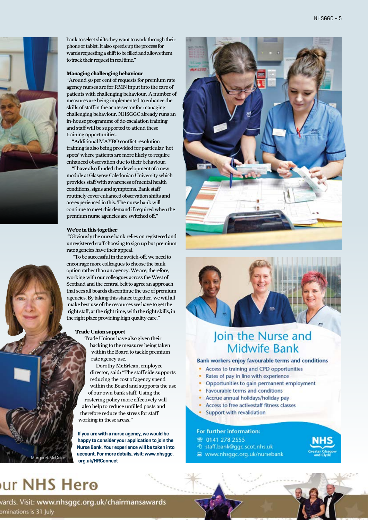



### **Managing challenging behaviour**

"Around 50 per cent of requests for premium rate agency nurses are for RMN input into the care of patients with challenging behaviour. A number of measures are being implemented to enhance the skills of staff in the acute sector for managing challenging behaviour. NHSGGC already runs an in-house programme of de-escalation training and staff will be supported to attend these training opportunities.

"Additional MAYBO conflict resolution training is also being provided for particular 'hot spots' where patients are more likely to require enhanced observation due to their behaviour.

"I have also funded the development of a new module at Glasgow Caledonian University which provides staff with awareness of mental health conditions, signs and symptoms. Bank staff routinely cover enhanced observation shifts and are experienced in this. The nurse bank will continue to meet this demand if required when the premium nurse agencies are switched off."

#### **We're in this together**

 "Obviously the nurse bank relies on registered and unregistered staff choosing to sign up but premium rate agencies have their appeal.

 "To be successful in the switch-off, we need to encourage more colleagues to choose the bank option rather than an agency. We are, therefore, working with our colleagues across the West of Scotland and the central belt to agree an approach that sees all boards discontinue the use of premium agencies. By taking this stance together, we will all make best use of the resources we have to get the right staff, at the right time, with the right skills, in the right place providing high quality care."

### **Trade Union support**

Trade Unions have also given their backing to the measures being taken within the Board to tackle premium rate agency use.

Dorothy McErlean, employee director, said: "The staff side supports reducing the cost of agency spend within the Board and supports the use of our own bank staff. Using the rostering policy more effectively will also help to reduce unfilled posts and therefore reduce the stress for staff working in these areas."

**If you are with a nurse agency, we would be happy to consider your application to join the Nurse Bank. Your experience will be taken into account. For more details, visit: www.nhsggc.** *org.uk/HRConnect* McGuire





## Join the Nurse and **Midwife Bank**

### **Bank workers enjoy favourable terms and conditions**

- Access to training and CPD opportunities
- Rates of pay in line with experience
- Opportunities to gain permanent employment
- Favourable terms and conditions
- Accrue annual holidays/holiday pay
- Access to free activestaff fitness classes
- Support with revalidation

#### For further information:

- **密 0141 278 2555**
- t staff.bank@ggc.scot.nhs.uk
- www.nhsggc.org.uk/nursebank



## ur NHS Hero

vards. Visit: www.nhsggc.org.uk/chairmansawards ominations is 31 July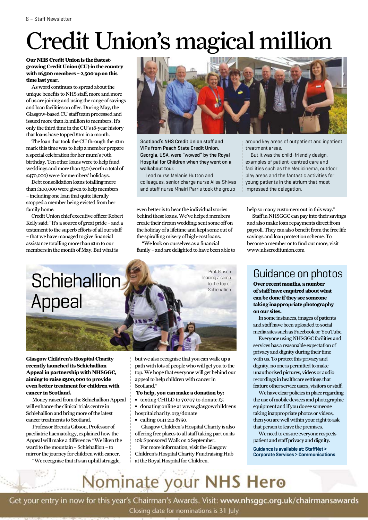## Credit Union's magical million

### **Our NHS Credit Union is the fastestgrowing Credit Union (CU) in the country with 16,500 members – 2,500 up on this time last year.**

As word continues to spread about the unique benefits to NHS staff, more and more of us are joining and using the range of savings and loan facilities on offer. During May, the Glasgow-based CU staff team processed and issued more than £1 million to members. It's only the third time in the CU's 18-year history that loans have topped £1m in a month.

The loan that took the CU through the £1m mark this time was to help a member prepare a special celebration for her mum's 70th birthday. Ten other loans were to help fund weddings and more than 230 (worth a total of £470,000) were for members' holidays.

Debt consolidation loans totalling more than £100,000 were given to help members – including one loan that quite literally stopped a member being evicted from her family home.

Credit Union chief executive officer Robert Kelly said: "It's a source of great pride – and a testament to the superb efforts of all our staff – that we have managed to give financial assistance totalling more than £1m to our members in the month of May. But what is



Scotland's NHS Credit Union staff and VIPs from Peach State Credit Union, Georgia, USA, were "wowed" by the Royal Hospital for Children when they went on a walkabout tour.

Lead nurse Melanie Hutton and colleagues, senior charge nurse Alisa Shivas and staff nurse Mhairi Parris took the group

even better is to hear the individual stories behind these loans. We've helped members create their dream wedding; sent some off on the holiday of a lifetime and kept some out of the spiralling misery of high-cost loans.

"We look on ourselves as a financial family – and are delighted to have been able to around key areas of outpatient and inpatient treatment areas.

But it was the child-friendly design, examples of patient-centred care and facilities such as the Medicinema, outdoor play areas and the fantastic activities for young patients in the atrium that most impressed the delegation.

help so many customers out in this way."

Staff in NHSGGC can pay into their savings and also make loan repayments direct from payroll. They can also benefit from the free life savings and loan protection scheme. To become a member or to find out more, visit www.nhscreditunion.com



**Glasgow Children's Hospital Charity recently launched its Schiehallion Appeal in partnership with NHSGGC, aiming to raise £500,000 to provide even better treatment for children with cancer in Scotland.**

 Money raised from the Schiehallion Appeal will enhance the clinical trials centre in Schiehallion and bring more of the latest cancer treatments to Scotland.

 Professor Brenda Gibson, Professor of paediatric haematology, explained how the Appeal will make a difference: "We liken the ward to the mountain – Schiehallion – to mirror the journey for children with cancer.

"We recognise that it's an uphill struggle,

but we also recognise that you can walk up a path with lots of people who will get you to the top. We hope that everyone will get behind our appeal to help children with cancer in Scotland."

- **To help, you can make a donation by:**
- **∫** texting CHILD to 70707 to donate £5
- **∫** donating online at www.glasgowchildrens hospitalcharity.org/donate
- **∫** calling 0141 212 8750.

 Glasgow Children's Hospital Charity is also offering free places to all staff taking part on its 10k Sponsored Walk on 2 September.

For more information, visit the Glasgow Children's Hospital Charity Fundraising Hub at the Royal Hospital for Children.

## Guidance on photos

**Over recent months, a number of staff have enquired about what can be done if they see someone taking inappropriate photography on our sites.**

In some instances, images of patients and staff have been uploaded to social media sites such as Facebook or YouTube.

Everyone using NHSGGC facilities and services has a reasonable expectation of privacy and dignity during their time with us. To protect this privacy and dignity, no one is permitted to make unauthorised pictures, videos or audio recordings in healthcare settings that feature other service users, visitors or staff.

We have clear policies in place regarding the use of mobile devices and photographic equipment and if you do see someone taking inappropriate photos or videos, then you are well within your right to ask that person to leave the premises.

We need to ensure everyone respects patient and staff privacy and dignity.

**Guidance is available at: StaffNet > Corporate Services > Communications**

## Nominate your NHS Hero

Get your entry in now for this year's Chairman's Awards. Visit: www.nhsggc.org.uk/chairmansawards Closing date for nominations is 31 July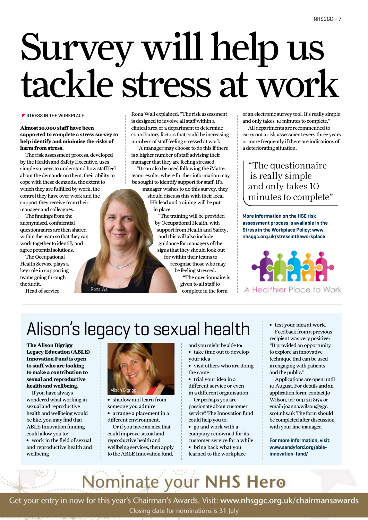# Survey will help us tackle stress at work

### **STRESS IN THE WORKPLACE**

**Almost 10,000 staff have been supported to complete a stress survey to help identify and minimise the risks of harm from stress.** 

The risk assessment process, developed by the Health and Safety Executive, uses simple surveys to understand how staff feel about the demands on them, their ability to cope with these demands, the extent to which they are fulfilled by work, the control they have over work and the support they receive from their manager and colleagues.

Rona

The findings from the anonymised, confidential questionnaires are then shared within the team so that they can work together to identify and agree potential solutions.

The Occupational Health Service plays a key role in supporting teams going through the audit.

Head of service

Rona Wall explained: "The risk assessment is designed to involve all staff within a clinical area or a department to determine contributory factors that could be increasing numbers of staff feeling stressed at work.

"A manager may choose to do this if there is a higher number of staff advising their manager that they are feeling stressed.

"It can also be used following the iMatter team results, where further information may be sought to identify support for staff. If a manager wishes to do this survey, they should discuss this with their local HR lead and training will be put

in place.

"The training will be provided by Occupational Health, with support from Health and Safety, and this will also include guidance for managers of the signs that they should look out for within their teams to recognise those who may be feeling stressed. "The questionnaire is given to all staff to complete in the form

of an electronic survey tool. It's really simple and only takes 10 minutes to complete."

All departments are recommended to carry out a risk assessment every three years or more frequently if there are indications of a deteriorating situation.

"The questionnaire is really simple and only takes 10 minutes to complete"

**More information on the HSE risk assessment process is available in the Stress in the Workplace Policy: www. nhsggc.org.uk/stressintheworkplace**



A Healthier Place to Work

## Alison's legacy to sexual health

**The Alison Bigrigg Legacy Education (ABLE) Innovation Fund is open to staff who are looking to make a contribution to sexual and reproductive health and wellbeing.**

If you have always wondered what working in sexual and reproductive health and wellbeing would be like, you may find that ABLE Innovation funding could allow you to:

**∫** work in the field of sexual and reproductive health and wellbeing



- **∫** shadow and learn from someone you admire
- **∫** arrange a placement in a different environment.

Or if you have an idea that could improve sexual and reproductive health and wellbeing services, then apply to the ABLE Innovation fund,

- and you might be able to:
- **∫** take time out to develop your idea **∫** visit others who are doing
- the same
- **∫** trial your idea in a different service or even

in a different organisation. Or perhaps you are

passionate about customer service? The Innovation fund could help you to:

- **∫** go and work with a company renowned for its customer service for a while
- **∫** bring back what you learned to the workplace

**∫** test your idea at work. Feedback from a previous recipient was very positive: "It provided an opportunity to explore an innovative technique that can be used in engaging with patients and the public."

Applications are open until 10 August. For details and an application form, contact Jo Wilson, tel: 0141 211 8179 or email: joanna.wilson@ggc. scot.nhs.uk The form should be completed after discussion with your line manager.

**For more information, visit: www.sandyford.org/ableinnovation-fund/**

## Nominate your NHS Hero

Get your entry in now for this year's Chairman's Awards. Visit: www.nhsggc.org.uk/chairmansawards

Closing date for nominations is 31 July